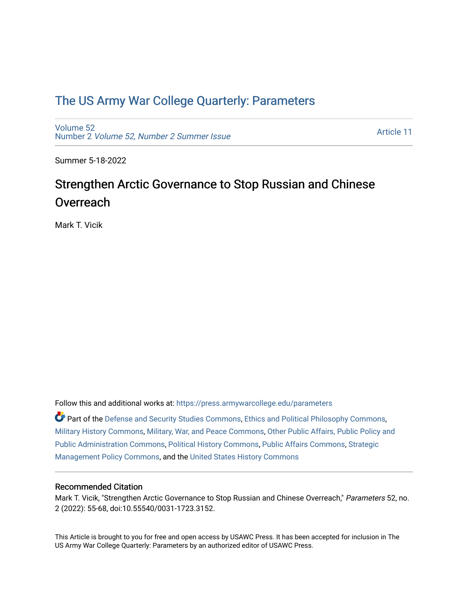# [The US Army War College Quarterly: Parameters](https://press.armywarcollege.edu/parameters)

[Volume 52](https://press.armywarcollege.edu/parameters/vol52) Number 2 [Volume 52, Number 2 Summer Issue](https://press.armywarcollege.edu/parameters/vol52/iss2)

[Article 11](https://press.armywarcollege.edu/parameters/vol52/iss2/11) 

Summer 5-18-2022

# Strengthen Arctic Governance to Stop Russian and Chinese **Overreach**

Mark T. Vicik

Follow this and additional works at: [https://press.armywarcollege.edu/parameters](https://press.armywarcollege.edu/parameters?utm_source=press.armywarcollege.edu%2Fparameters%2Fvol52%2Fiss2%2F11&utm_medium=PDF&utm_campaign=PDFCoverPages) 

Part of the [Defense and Security Studies Commons](https://network.bepress.com/hgg/discipline/394?utm_source=press.armywarcollege.edu%2Fparameters%2Fvol52%2Fiss2%2F11&utm_medium=PDF&utm_campaign=PDFCoverPages), [Ethics and Political Philosophy Commons](https://network.bepress.com/hgg/discipline/529?utm_source=press.armywarcollege.edu%2Fparameters%2Fvol52%2Fiss2%2F11&utm_medium=PDF&utm_campaign=PDFCoverPages), [Military History Commons,](https://network.bepress.com/hgg/discipline/504?utm_source=press.armywarcollege.edu%2Fparameters%2Fvol52%2Fiss2%2F11&utm_medium=PDF&utm_campaign=PDFCoverPages) [Military, War, and Peace Commons,](https://network.bepress.com/hgg/discipline/861?utm_source=press.armywarcollege.edu%2Fparameters%2Fvol52%2Fiss2%2F11&utm_medium=PDF&utm_campaign=PDFCoverPages) [Other Public Affairs, Public Policy and](https://network.bepress.com/hgg/discipline/403?utm_source=press.armywarcollege.edu%2Fparameters%2Fvol52%2Fiss2%2F11&utm_medium=PDF&utm_campaign=PDFCoverPages)  [Public Administration Commons,](https://network.bepress.com/hgg/discipline/403?utm_source=press.armywarcollege.edu%2Fparameters%2Fvol52%2Fiss2%2F11&utm_medium=PDF&utm_campaign=PDFCoverPages) [Political History Commons,](https://network.bepress.com/hgg/discipline/505?utm_source=press.armywarcollege.edu%2Fparameters%2Fvol52%2Fiss2%2F11&utm_medium=PDF&utm_campaign=PDFCoverPages) [Public Affairs Commons,](https://network.bepress.com/hgg/discipline/399?utm_source=press.armywarcollege.edu%2Fparameters%2Fvol52%2Fiss2%2F11&utm_medium=PDF&utm_campaign=PDFCoverPages) [Strategic](https://network.bepress.com/hgg/discipline/642?utm_source=press.armywarcollege.edu%2Fparameters%2Fvol52%2Fiss2%2F11&utm_medium=PDF&utm_campaign=PDFCoverPages)  [Management Policy Commons,](https://network.bepress.com/hgg/discipline/642?utm_source=press.armywarcollege.edu%2Fparameters%2Fvol52%2Fiss2%2F11&utm_medium=PDF&utm_campaign=PDFCoverPages) and the [United States History Commons](https://network.bepress.com/hgg/discipline/495?utm_source=press.armywarcollege.edu%2Fparameters%2Fvol52%2Fiss2%2F11&utm_medium=PDF&utm_campaign=PDFCoverPages)

## Recommended Citation

Mark T. Vicik, "Strengthen Arctic Governance to Stop Russian and Chinese Overreach," Parameters 52, no. 2 (2022): 55-68, doi:10.55540/0031-1723.3152.

This Article is brought to you for free and open access by USAWC Press. It has been accepted for inclusion in The US Army War College Quarterly: Parameters by an authorized editor of USAWC Press.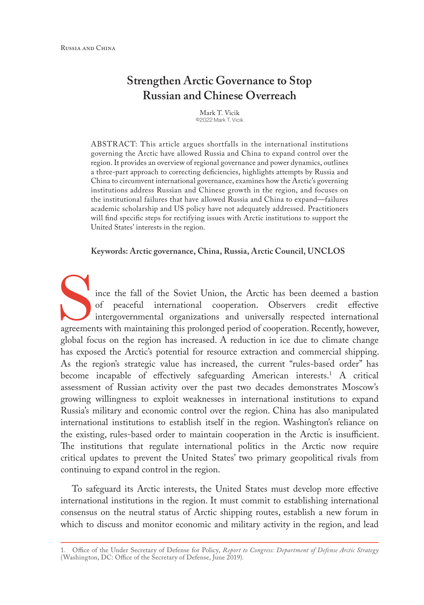## **Strengthen Arctic Governance to Stop Russian and Chinese Overreach**

Mark T. Vicik ©2022 Mark T. Vicik

ABSTRACT: This article argues shortfalls in the international institutions governing the Arctic have allowed Russia and China to expand control over the region. It provides an overview of regional governance and power dynamics, outlines a three-part approach to correcting deficiencies, highlights attempts by Russia and China to circumvent international governance, examines how the Arctic's governing institutions address Russian and Chinese growth in the region, and focuses on the institutional failures that have allowed Russia and China to expand—failures academic scholarship and US policy have not adequately addressed. Practitioners will find specific steps for rectifying issues with Arctic institutions to support the United States' interests in the region.

**Keywords: Arctic governance, China, Russia, Arctic Council, UNCLOS**

ince the fall of the Soviet Union, the Arctic has been deemed a bastion of peaceful international cooperation. Observers credit effective intergovernmental organizations and universally respected international agreements with maintaining this prolonged period of cooperation. Recently, however, global focus on the region has increased. A reduction in ice due to climate change has exposed the Arctic's potential for resource extraction and commercial shipping. As the region's strategic value has increased, the current "rules-based order" has become incapable of effectively safeguarding American interests.<sup>1</sup> A critical assessment of Russian activity over the past two decades demonstrates Moscow's growing willingness to exploit weaknesses in international institutions to expand Russia's military and economic control over the region. China has also manipulated international institutions to establish itself in the region. Washington's reliance on the existing, rules-based order to maintain cooperation in the Arctic is insufficient. The institutions that regulate international politics in the Arctic now require critical updates to prevent the United States' two primary geopolitical rivals from continuing to expand control in the region.

To safeguard its Arctic interests, the United States must develop more effective international institutions in the region. It must commit to establishing international consensus on the neutral status of Arctic shipping routes, establish a new forum in which to discuss and monitor economic and military activity in the region, and lead

<sup>1.</sup> Office of the Under Secretary of Defense for Policy, *Report to Congress: Department of Defense Arctic Strategy* (Washington, DC: Office of the Secretary of Defense, June 2019).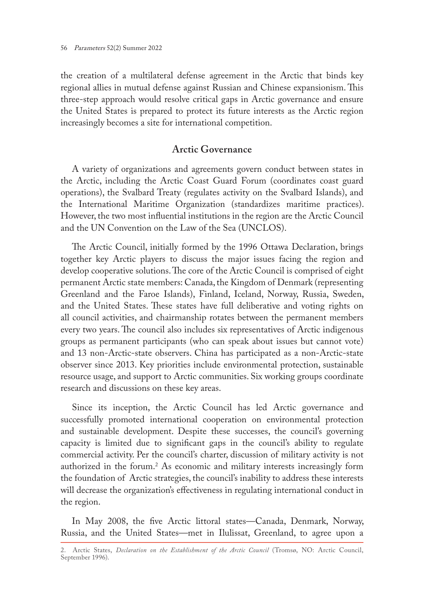the creation of a multilateral defense agreement in the Arctic that binds key regional allies in mutual defense against Russian and Chinese expansionism. This three-step approach would resolve critical gaps in Arctic governance and ensure the United States is prepared to protect its future interests as the Arctic region increasingly becomes a site for international competition.

#### **Arctic Governance**

A variety of organizations and agreements govern conduct between states in the Arctic, including the Arctic Coast Guard Forum (coordinates coast guard operations), the Svalbard Treaty (regulates activity on the Svalbard Islands), and the International Maritime Organization (standardizes maritime practices). However, the two most influential institutions in the region are the Arctic Council and the UN Convention on the Law of the Sea (UNCLOS).

The Arctic Council, initially formed by the 1996 Ottawa Declaration, brings together key Arctic players to discuss the major issues facing the region and develop cooperative solutions. The core of the Arctic Council is comprised of eight permanent Arctic state members: Canada, the Kingdom of Denmark (representing Greenland and the Faroe Islands), Finland, Iceland, Norway, Russia, Sweden, and the United States. These states have full deliberative and voting rights on all council activities, and chairmanship rotates between the permanent members every two years. The council also includes six representatives of Arctic indigenous groups as permanent participants (who can speak about issues but cannot vote) and 13 non-Arctic-state observers. China has participated as a non-Arctic-state observer since 2013. Key priorities include environmental protection, sustainable resource usage, and support to Arctic communities. Six working groups coordinate research and discussions on these key areas.

Since its inception, the Arctic Council has led Arctic governance and successfully promoted international cooperation on environmental protection and sustainable development. Despite these successes, the council's governing capacity is limited due to significant gaps in the council's ability to regulate commercial activity. Per the council's charter, discussion of military activity is not authorized in the forum.2 As economic and military interests increasingly form the foundation of Arctic strategies, the council's inability to address these interests will decrease the organization's effectiveness in regulating international conduct in the region.

In May 2008, the five Arctic littoral states—Canada, Denmark, Norway, Russia, and the United States—met in Ilulissat, Greenland, to agree upon a

<sup>2.</sup> Arctic States, *Declaration on the Establishment of the Arctic Council* (Tromsø, NO: Arctic Council, September 1996).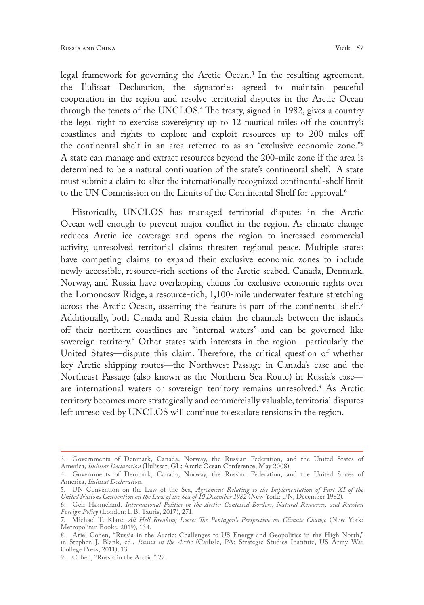legal framework for governing the Arctic Ocean.3 In the resulting agreement, the Ilulissat Declaration, the signatories agreed to maintain peaceful cooperation in the region and resolve territorial disputes in the Arctic Ocean through the tenets of the UNCLOS.4 The treaty, signed in 1982, gives a country the legal right to exercise sovereignty up to 12 nautical miles off the country's coastlines and rights to explore and exploit resources up to 200 miles off the continental shelf in an area referred to as an "exclusive economic zone."5 A state can manage and extract resources beyond the 200-mile zone if the area is determined to be a natural continuation of the state's continental shelf. A state must submit a claim to alter the internationally recognized continental-shelf limit to the UN Commission on the Limits of the Continental Shelf for approval.<sup>6</sup>

Historically, UNCLOS has managed territorial disputes in the Arctic Ocean well enough to prevent major conflict in the region. As climate change reduces Arctic ice coverage and opens the region to increased commercial activity, unresolved territorial claims threaten regional peace. Multiple states have competing claims to expand their exclusive economic zones to include newly accessible, resource-rich sections of the Arctic seabed. Canada, Denmark, Norway, and Russia have overlapping claims for exclusive economic rights over the Lomonosov Ridge, a resource-rich, 1,100-mile underwater feature stretching across the Arctic Ocean, asserting the feature is part of the continental shelf.<sup>7</sup> Additionally, both Canada and Russia claim the channels between the islands off their northern coastlines are "internal waters" and can be governed like sovereign territory.8 Other states with interests in the region—particularly the United States—dispute this claim. Therefore, the critical question of whether key Arctic shipping routes—the Northwest Passage in Canada's case and the Northeast Passage (also known as the Northern Sea Route) in Russia's case are international waters or sovereign territory remains unresolved.<sup>9</sup> As Arctic territory becomes more strategically and commercially valuable, territorial disputes left unresolved by UNCLOS will continue to escalate tensions in the region.

<sup>3.</sup> Governments of Denmark, Canada, Norway, the Russian Federation, and the United States of America, *Ilulissat Declaration* (Ilulissat, GL: Arctic Ocean Conference, May 2008).

<sup>4.</sup> Governments of Denmark, Canada, Norway, the Russian Federation, and the United States of America, *Ilulissat Declaration*.

<sup>5.</sup> UN Convention on the Law of the Sea, *Agreement Relating to the Implementation of Part XI of the United Nations Convention on the Law of the Sea of 10 December 1982* (New York: UN, December 1982).

<sup>6.</sup> Geir Hønneland, *International Politics in the Arctic: Contested Borders, Natural Resources, and Russian Foreign Policy* (London: I. B. Tauris, 2017), 271.

<sup>7.</sup> Michael T. Klare, *All Hell Breaking Loose: The Pentagon's Perspective on Climate Change* (New York: Metropolitan Books, 2019), 134.

<sup>8.</sup> Ariel Cohen, "Russia in the Arctic: Challenges to US Energy and Geopolitics in the High North," in Stephen J. Blank, ed., *Russia in the Arctic* (Carlisle, PA: Strategic Studies Institute, US Army War College Press, 2011), 13.

<sup>9.</sup> Cohen, "Russia in the Arctic," 27.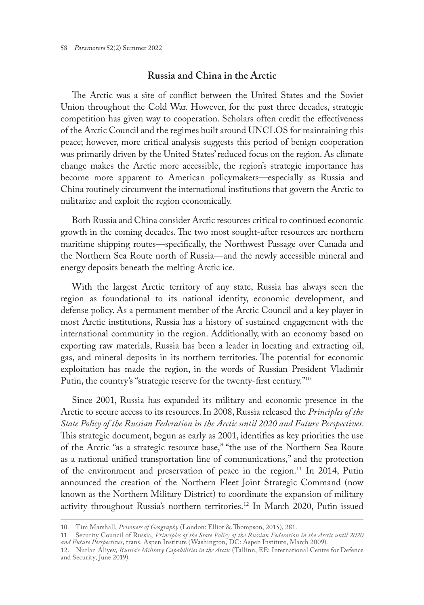### **Russia and China in the Arctic**

The Arctic was a site of conflict between the United States and the Soviet Union throughout the Cold War. However, for the past three decades, strategic competition has given way to cooperation. Scholars often credit the effectiveness of the Arctic Council and the regimes built around UNCLOS for maintaining this peace; however, more critical analysis suggests this period of benign cooperation was primarily driven by the United States' reduced focus on the region. As climate change makes the Arctic more accessible, the region's strategic importance has become more apparent to American policymakers—especially as Russia and China routinely circumvent the international institutions that govern the Arctic to militarize and exploit the region economically.

Both Russia and China consider Arctic resources critical to continued economic growth in the coming decades. The two most sought-after resources are northern maritime shipping routes—specifically, the Northwest Passage over Canada and the Northern Sea Route north of Russia—and the newly accessible mineral and energy deposits beneath the melting Arctic ice.

With the largest Arctic territory of any state, Russia has always seen the region as foundational to its national identity, economic development, and defense policy. As a permanent member of the Arctic Council and a key player in most Arctic institutions, Russia has a history of sustained engagement with the international community in the region. Additionally, with an economy based on exporting raw materials, Russia has been a leader in locating and extracting oil, gas, and mineral deposits in its northern territories. The potential for economic exploitation has made the region, in the words of Russian President Vladimir Putin, the country's "strategic reserve for the twenty-first century."10

Since 2001, Russia has expanded its military and economic presence in the Arctic to secure access to its resources. In 2008, Russia released the *Principles of the State Policy of the Russian Federation in the Arctic until 2020 and Future Perspectives*. This strategic document, begun as early as 2001, identifies as key priorities the use of the Arctic "as a strategic resource base," "the use of the Northern Sea Route as a national unified transportation line of communications," and the protection of the environment and preservation of peace in the region.11 In 2014, Putin announced the creation of the Northern Fleet Joint Strategic Command (now known as the Northern Military District) to coordinate the expansion of military activity throughout Russia's northern territories.12 In March 2020, Putin issued

<sup>10.</sup> Tim Marshall, *Prisoners of Geography* (London: Elliot & Thompson, 2015), 281.

<sup>11.</sup> Security Council of Russia, *Principles of the State Policy of the Russian Federation in the Arctic until 2020 and Future Perspectives*, trans. Aspen Institute (Washington, DC: Aspen Institute, March 2009).

<sup>12.</sup> Nurlan Aliyev, *Russia's Military Capabilities in the Arctic* (Tallinn, EE: International Centre for Defence and Security, June 2019).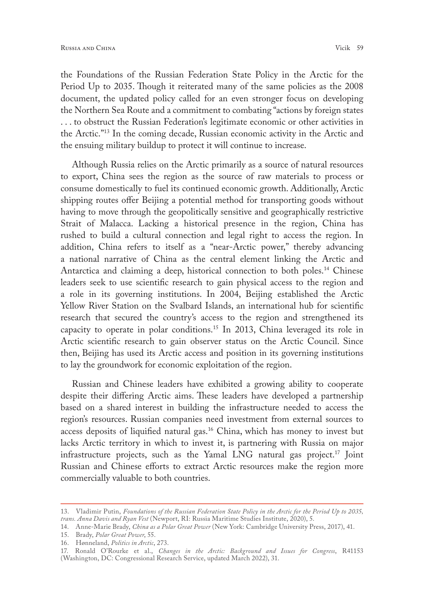the Foundations of the Russian Federation State Policy in the Arctic for the Period Up to 2035. Though it reiterated many of the same policies as the 2008 document, the updated policy called for an even stronger focus on developing the Northern Sea Route and a commitment to combating "actions by foreign states . . . to obstruct the Russian Federation's legitimate economic or other activities in the Arctic."13 In the coming decade, Russian economic activity in the Arctic and the ensuing military buildup to protect it will continue to increase.

Although Russia relies on the Arctic primarily as a source of natural resources to export, China sees the region as the source of raw materials to process or consume domestically to fuel its continued economic growth. Additionally, Arctic shipping routes offer Beijing a potential method for transporting goods without having to move through the geopolitically sensitive and geographically restrictive Strait of Malacca. Lacking a historical presence in the region, China has rushed to build a cultural connection and legal right to access the region. In addition, China refers to itself as a "near-Arctic power," thereby advancing a national narrative of China as the central element linking the Arctic and Antarctica and claiming a deep, historical connection to both poles.<sup>14</sup> Chinese leaders seek to use scientific research to gain physical access to the region and a role in its governing institutions. In 2004, Beijing established the Arctic Yellow River Station on the Svalbard Islands, an international hub for scientific research that secured the country's access to the region and strengthened its capacity to operate in polar conditions.<sup>15</sup> In 2013, China leveraged its role in Arctic scientific research to gain observer status on the Arctic Council. Since then, Beijing has used its Arctic access and position in its governing institutions to lay the groundwork for economic exploitation of the region.

Russian and Chinese leaders have exhibited a growing ability to cooperate despite their differing Arctic aims. These leaders have developed a partnership based on a shared interest in building the infrastructure needed to access the region's resources. Russian companies need investment from external sources to access deposits of liquified natural gas.16 China, which has money to invest but lacks Arctic territory in which to invest it, is partnering with Russia on major infrastructure projects, such as the Yamal LNG natural gas project.<sup>17</sup> Joint Russian and Chinese efforts to extract Arctic resources make the region more commercially valuable to both countries.

15. Brady, *Polar Great Power*, 55.

<sup>13.</sup> Vladimir Putin, *Foundations of the Russian Federation State Policy in the Arctic for the Period Up to 2035, trans. Anna Davis and Ryan Vest* (Newport, RI: Russia Maritime Studies Institute, 2020), 5.

<sup>14.</sup> Anne-Marie Brady, *China as a Polar Great Power* (New York: Cambridge University Press, 2017), 41.

<sup>16.</sup> Hønneland, *Politics in Arctic*, 273.

<sup>17.</sup> Ronald O'Rourke et al., *Changes in the Arctic: Background and Issues for Congress*, R41153 (Washington, DC: Congressional Research Service, updated March 2022), 31.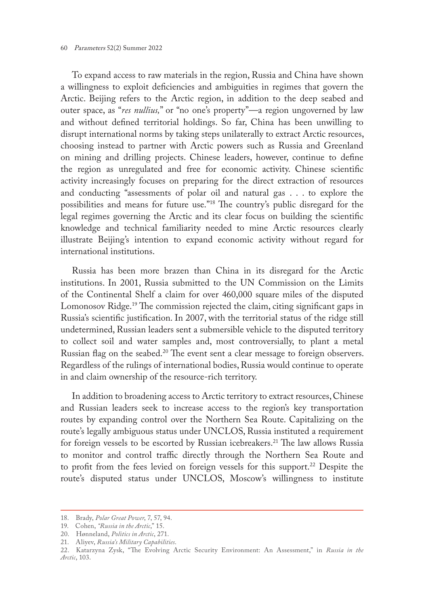To expand access to raw materials in the region, Russia and China have shown a willingness to exploit deficiencies and ambiguities in regimes that govern the Arctic. Beijing refers to the Arctic region, in addition to the deep seabed and outer space, as "*res nullius,*" or "no one's property"—a region ungoverned by law and without defined territorial holdings. So far, China has been unwilling to disrupt international norms by taking steps unilaterally to extract Arctic resources, choosing instead to partner with Arctic powers such as Russia and Greenland on mining and drilling projects. Chinese leaders, however, continue to define the region as unregulated and free for economic activity. Chinese scientific activity increasingly focuses on preparing for the direct extraction of resources and conducting "assessments of polar oil and natural gas . . . to explore the possibilities and means for future use."18 The country's public disregard for the legal regimes governing the Arctic and its clear focus on building the scientific knowledge and technical familiarity needed to mine Arctic resources clearly illustrate Beijing's intention to expand economic activity without regard for international institutions.

Russia has been more brazen than China in its disregard for the Arctic institutions. In 2001, Russia submitted to the UN Commission on the Limits of the Continental Shelf a claim for over 460,000 square miles of the disputed Lomonosov Ridge.19 The commission rejected the claim, citing significant gaps in Russia's scientific justification. In 2007, with the territorial status of the ridge still undetermined, Russian leaders sent a submersible vehicle to the disputed territory to collect soil and water samples and, most controversially, to plant a metal Russian flag on the seabed.<sup>20</sup> The event sent a clear message to foreign observers. Regardless of the rulings of international bodies, Russia would continue to operate in and claim ownership of the resource-rich territory.

In addition to broadening access to Arctic territory to extract resources, Chinese and Russian leaders seek to increase access to the region's key transportation routes by expanding control over the Northern Sea Route. Capitalizing on the route's legally ambiguous status under UNCLOS, Russia instituted a requirement for foreign vessels to be escorted by Russian icebreakers.<sup>21</sup> The law allows Russia to monitor and control traffic directly through the Northern Sea Route and to profit from the fees levied on foreign vessels for this support.<sup>22</sup> Despite the route's disputed status under UNCLOS, Moscow's willingness to institute

<sup>18.</sup> Brady, *Polar Great Power*, 7, 57, 94.

<sup>19.</sup> Cohen, *"Russia in the Arctic*," 15.

<sup>20.</sup> Hønneland, *Politics in Arctic*, 271.

<sup>21.</sup> Aliyev, *Russia's Military Capabilities*.

<sup>22.</sup> Katarzyna Zysk, "The Evolving Arctic Security Environment: An Assessment," in *Russia in the Arctic*, 103.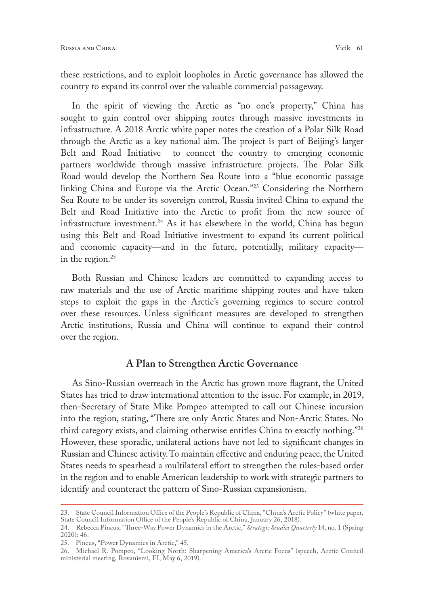these restrictions, and to exploit loopholes in Arctic governance has allowed the country to expand its control over the valuable commercial passageway.

In the spirit of viewing the Arctic as "no one's property," China has sought to gain control over shipping routes through massive investments in infrastructure. A 2018 Arctic white paper notes the creation of a Polar Silk Road through the Arctic as a key national aim. The project is part of Beijing's larger Belt and Road Initiative to connect the country to emerging economic partners worldwide through massive infrastructure projects. The Polar Silk Road would develop the Northern Sea Route into a "blue economic passage linking China and Europe via the Arctic Ocean."23 Considering the Northern Sea Route to be under its sovereign control, Russia invited China to expand the Belt and Road Initiative into the Arctic to profit from the new source of infrastructure investment.<sup>24</sup> As it has elsewhere in the world, China has begun using this Belt and Road Initiative investment to expand its current political and economic capacity—and in the future, potentially, military capacity in the region. $25$ 

Both Russian and Chinese leaders are committed to expanding access to raw materials and the use of Arctic maritime shipping routes and have taken steps to exploit the gaps in the Arctic's governing regimes to secure control over these resources. Unless significant measures are developed to strengthen Arctic institutions, Russia and China will continue to expand their control over the region.

#### **A Plan to Strengthen Arctic Governance**

As Sino-Russian overreach in the Arctic has grown more flagrant, the United States has tried to draw international attention to the issue. For example, in 2019, then-Secretary of State Mike Pompeo attempted to call out Chinese incursion into the region, stating, "There are only Arctic States and Non-Arctic States. No third category exists, and claiming otherwise entitles China to exactly nothing."26 However, these sporadic, unilateral actions have not led to significant changes in Russian and Chinese activity. To maintain effective and enduring peace, the United States needs to spearhead a multilateral effort to strengthen the rules-based order in the region and to enable American leadership to work with strategic partners to identify and counteract the pattern of Sino-Russian expansionism.

<sup>23.</sup> State Council Information Office of the People's Republic of China, "China's Arctic Policy" (white paper, State Council Information Office of the People's Republic of China, January 26, 2018).

<sup>24.</sup> Rebecca Pincus, "Three-Way Power Dynamics in the Arctic," *Strategic Studies Quarterly* 14, no. 1 (Spring 2020): 46.

<sup>25.</sup> Pincus, "Power Dynamics in Arctic," 45.

<sup>26.</sup> Michael R. Pompeo, "Looking North: Sharpening America's Arctic Focus" (speech, Arctic Council ministerial meeting, Rovaniemi, FI, May 6, 2019).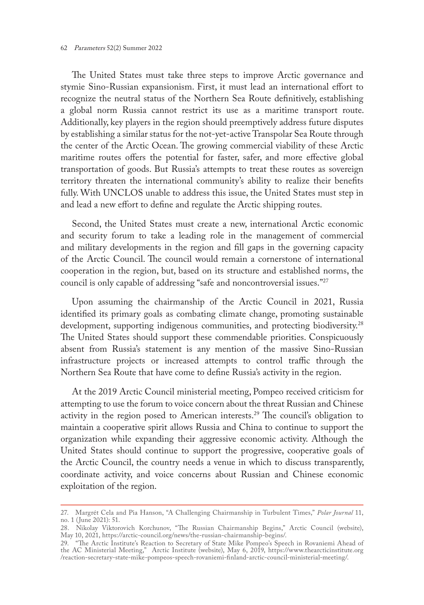The United States must take three steps to improve Arctic governance and stymie Sino-Russian expansionism. First, it must lead an international effort to recognize the neutral status of the Northern Sea Route definitively, establishing a global norm Russia cannot restrict its use as a maritime transport route. Additionally, key players in the region should preemptively address future disputes by establishing a similar status for the not-yet-active Transpolar Sea Route through the center of the Arctic Ocean. The growing commercial viability of these Arctic maritime routes offers the potential for faster, safer, and more effective global transportation of goods. But Russia's attempts to treat these routes as sovereign territory threaten the international community's ability to realize their benefits fully. With UNCLOS unable to address this issue, the United States must step in and lead a new effort to define and regulate the Arctic shipping routes.

Second, the United States must create a new, international Arctic economic and security forum to take a leading role in the management of commercial and military developments in the region and fill gaps in the governing capacity of the Arctic Council. The council would remain a cornerstone of international cooperation in the region, but, based on its structure and established norms, the council is only capable of addressing "safe and noncontroversial issues."27

Upon assuming the chairmanship of the Arctic Council in 2021, Russia identified its primary goals as combating climate change, promoting sustainable development, supporting indigenous communities, and protecting biodiversity.<sup>28</sup> The United States should support these commendable priorities. Conspicuously absent from Russia's statement is any mention of the massive Sino-Russian infrastructure projects or increased attempts to control traffic through the Northern Sea Route that have come to define Russia's activity in the region.

At the 2019 Arctic Council ministerial meeting, Pompeo received criticism for attempting to use the forum to voice concern about the threat Russian and Chinese activity in the region posed to American interests.<sup>29</sup> The council's obligation to maintain a cooperative spirit allows Russia and China to continue to support the organization while expanding their aggressive economic activity. Although the United States should continue to support the progressive, cooperative goals of the Arctic Council, the country needs a venue in which to discuss transparently, coordinate activity, and voice concerns about Russian and Chinese economic exploitation of the region.

<sup>27.</sup> Margrét Cela and Pia Hanson, "A Challenging Chairmanship in Turbulent Times," *Polar Journal* 11, no. 1 (June 2021): 51.

<sup>28.</sup> Nikolay Viktorovich Korchunov, "The Russian Chairmanship Begins," Arctic Council (website), May 10, 2021, [https://arctic-council.org/news/the-russian-chairmanship-begins/.](https://arctic-council.org/news/the-russian-chairmanship-begins/)

<sup>29.</sup> "The Arctic Institute's Reaction to Secretary of State Mike Pompeo's Speech in Rovaniemi Ahead of the AC Ministerial Meeting," Arctic Institute (website), May 6, 2019, [https://www.thearcticinstitute.org](https://www.thearcticinstitute.org/reaction-secretary-state-mike-pompeos-speech-rovaniemi-finland-arctic-council-ministerial-meeting/) [/reaction-secretary-state-mike-pompeos-speech-rovaniemi-finland-arctic-council-ministerial-meeting/](https://www.thearcticinstitute.org/reaction-secretary-state-mike-pompeos-speech-rovaniemi-finland-arctic-council-ministerial-meeting/).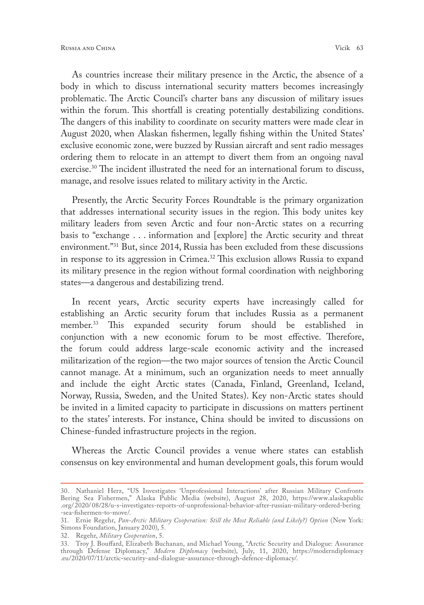As countries increase their military presence in the Arctic, the absence of a body in which to discuss international security matters becomes increasingly problematic. The Arctic Council's charter bans any discussion of military issues within the forum. This shortfall is creating potentially destabilizing conditions. The dangers of this inability to coordinate on security matters were made clear in August 2020, when Alaskan fishermen, legally fishing within the United States' exclusive economic zone, were buzzed by Russian aircraft and sent radio messages ordering them to relocate in an attempt to divert them from an ongoing naval exercise.30 The incident illustrated the need for an international forum to discuss, manage, and resolve issues related to military activity in the Arctic.

Presently, the Arctic Security Forces Roundtable is the primary organization that addresses international security issues in the region. This body unites key military leaders from seven Arctic and four non-Arctic states on a recurring basis to "exchange . . . information and [explore] the Arctic security and threat environment."31 But, since 2014, Russia has been excluded from these discussions in response to its aggression in Crimea.<sup>32</sup> This exclusion allows Russia to expand its military presence in the region without formal coordination with neighboring states—a dangerous and destabilizing trend.

In recent years, Arctic security experts have increasingly called for establishing an Arctic security forum that includes Russia as a permanent member.33 This expanded security forum should be established in conjunction with a new economic forum to be most effective. Therefore, the forum could address large-scale economic activity and the increased militarization of the region—the two major sources of tension the Arctic Council cannot manage. At a minimum, such an organization needs to meet annually and include the eight Arctic states (Canada, Finland, Greenland, Iceland, Norway, Russia, Sweden, and the United States). Key non-Arctic states should be invited in a limited capacity to participate in discussions on matters pertinent to the states' interests. For instance, China should be invited to discussions on Chinese-funded infrastructure projects in the region.

Whereas the Arctic Council provides a venue where states can establish consensus on key environmental and human development goals, this forum would

<sup>30.</sup> Nathaniel Herz, "US Investigates 'Unprofessional Interactions' after Russian Military Confronts Bering Sea Fishermen," Alaska Public Media (website), August 28, 2020, [https://www.alaskapublic](https://www.alaskapublic.org/2020/08/28/u-s-investigates-reports-of-unprofessional-behavior-after-russian-military-ordered-bering-sea-fishermen-to-move/) .org/2020/ [08/28/u-s-investigates-reports-of-unprofessional-behavior-after-russian-military-ordered-bering](https://www.alaskapublic.org/2020/08/28/u-s-investigates-reports-of-unprofessional-behavior-after-russian-military-ordered-bering-sea-fishermen-to-move/) [-sea-fishermen-to-move/](https://www.alaskapublic.org/2020/08/28/u-s-investigates-reports-of-unprofessional-behavior-after-russian-military-ordered-bering-sea-fishermen-to-move/).

<sup>31.</sup> Ernie Regehr, *Pan-Arctic Military Cooperation: Still the Most Reliable (and Likely?) Option* (New York: Simons Foundation, January 2020), 5.

<sup>32.</sup> Regehr, *Military Cooperation*, 5.

<sup>33.</sup> Troy J. Bouffard, Elizabeth Buchanan, and Michael Young, "Arctic Security and Dialogue: Assurance through Defense Diplomacy," *Modern Diplomacy* (website), July, 11, 2020, [https://moderndiplomacy](https://moderndiplomacy.eu/2020/07/11/arctic-security-and-dialogue-assurance-through-defence-diplomacy/) [.eu/2020/07/11/arctic-security-and-dialogue-assurance-through-defence-diplomacy/](https://moderndiplomacy.eu/2020/07/11/arctic-security-and-dialogue-assurance-through-defence-diplomacy/).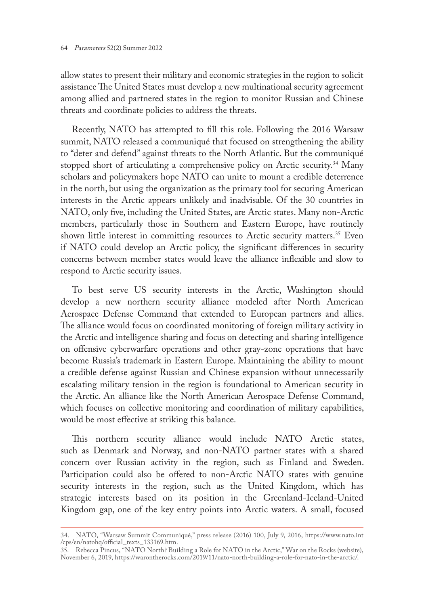allow states to present their military and economic strategies in the region to solicit assistance The United States must develop a new multinational security agreement among allied and partnered states in the region to monitor Russian and Chinese threats and coordinate policies to address the threats.

Recently, NATO has attempted to fill this role. Following the 2016 Warsaw summit, NATO released a communiqué that focused on strengthening the ability to "deter and defend" against threats to the North Atlantic. But the communiqué stopped short of articulating a comprehensive policy on Arctic security.<sup>34</sup> Many scholars and policymakers hope NATO can unite to mount a credible deterrence in the north, but using the organization as the primary tool for securing American interests in the Arctic appears unlikely and inadvisable. Of the 30 countries in NATO, only five, including the United States, are Arctic states. Many non-Arctic members, particularly those in Southern and Eastern Europe, have routinely shown little interest in committing resources to Arctic security matters.<sup>35</sup> Even if NATO could develop an Arctic policy, the significant differences in security concerns between member states would leave the alliance inflexible and slow to respond to Arctic security issues.

To best serve US security interests in the Arctic, Washington should develop a new northern security alliance modeled after North American Aerospace Defense Command that extended to European partners and allies. The alliance would focus on coordinated monitoring of foreign military activity in the Arctic and intelligence sharing and focus on detecting and sharing intelligence on offensive cyberwarfare operations and other gray-zone operations that have become Russia's trademark in Eastern Europe. Maintaining the ability to mount a credible defense against Russian and Chinese expansion without unnecessarily escalating military tension in the region is foundational to American security in the Arctic. An alliance like the North American Aerospace Defense Command, which focuses on collective monitoring and coordination of military capabilities, would be most effective at striking this balance.

This northern security alliance would include NATO Arctic states, such as Denmark and Norway, and non-NATO partner states with a shared concern over Russian activity in the region, such as Finland and Sweden. Participation could also be offered to non-Arctic NATO states with genuine security interests in the region, such as the United Kingdom, which has strategic interests based on its position in the Greenland-Iceland-United Kingdom gap, one of the key entry points into Arctic waters. A small, focused

<sup>34.</sup> NATO, "Warsaw Summit Communiqué," press release (2016) 100, July 9, 2016, [https://www.nato.int](https://www.nato.int/cps/en/natohq/official_texts_133169.htm) [/cps/en/natohq/official\\_texts\\_133169.htm.](https://www.nato.int/cps/en/natohq/official_texts_133169.htm)

<sup>35.</sup> Rebecca Pincus, "NATO North? Building a Role for NATO in the Arctic," War on the Rocks (website), November 6, 2019, <https://warontherocks.com/2019/11/nato-north-building-a-role-for-nato-in-the-arctic/>.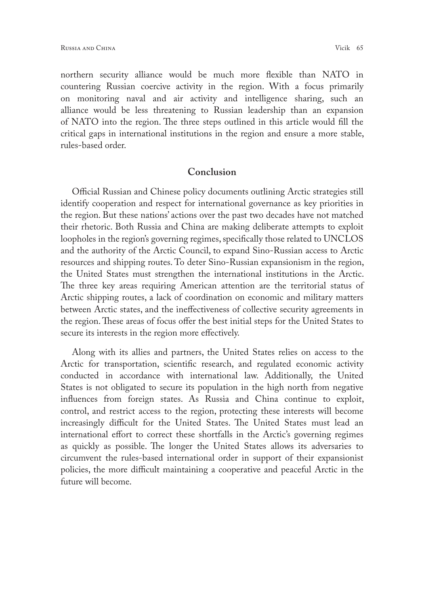northern security alliance would be much more flexible than NATO in countering Russian coercive activity in the region. With a focus primarily on monitoring naval and air activity and intelligence sharing, such an alliance would be less threatening to Russian leadership than an expansion of NATO into the region. The three steps outlined in this article would fill the critical gaps in international institutions in the region and ensure a more stable, rules-based order.

#### **Conclusion**

Official Russian and Chinese policy documents outlining Arctic strategies still identify cooperation and respect for international governance as key priorities in the region. But these nations' actions over the past two decades have not matched their rhetoric. Both Russia and China are making deliberate attempts to exploit loopholes in the region's governing regimes, specifically those related to UNCLOS and the authority of the Arctic Council, to expand Sino-Russian access to Arctic resources and shipping routes. To deter Sino-Russian expansionism in the region, the United States must strengthen the international institutions in the Arctic. The three key areas requiring American attention are the territorial status of Arctic shipping routes, a lack of coordination on economic and military matters between Arctic states, and the ineffectiveness of collective security agreements in the region. These areas of focus offer the best initial steps for the United States to secure its interests in the region more effectively.

Along with its allies and partners, the United States relies on access to the Arctic for transportation, scientific research, and regulated economic activity conducted in accordance with international law. Additionally, the United States is not obligated to secure its population in the high north from negative influences from foreign states. As Russia and China continue to exploit, control, and restrict access to the region, protecting these interests will become increasingly difficult for the United States. The United States must lead an international effort to correct these shortfalls in the Arctic's governing regimes as quickly as possible. The longer the United States allows its adversaries to circumvent the rules-based international order in support of their expansionist policies, the more difficult maintaining a cooperative and peaceful Arctic in the future will become.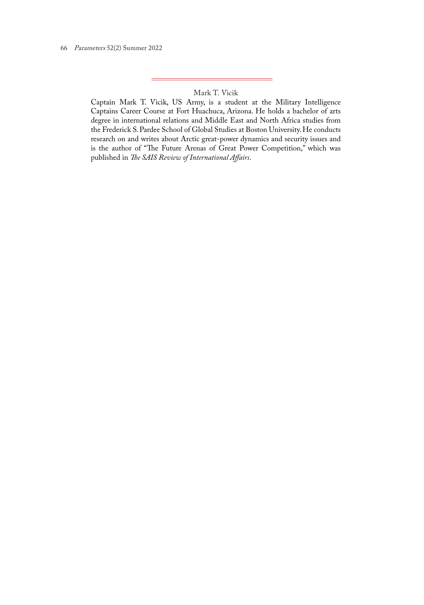#### Mark T. Vicik

Captain Mark T. Vicik, US Army, is a student at the Military Intelligence Captains Career Course at Fort Huachuca, Arizona. He holds a bachelor of arts degree in international relations and Middle East and North Africa studies from the Frederick S. Pardee School of Global Studies at Boston University. He conducts research on and writes about Arctic great-power dynamics and security issues and is the author of "The Future Arenas of Great Power Competition," which was published in *The SAIS Review of International Affairs*.